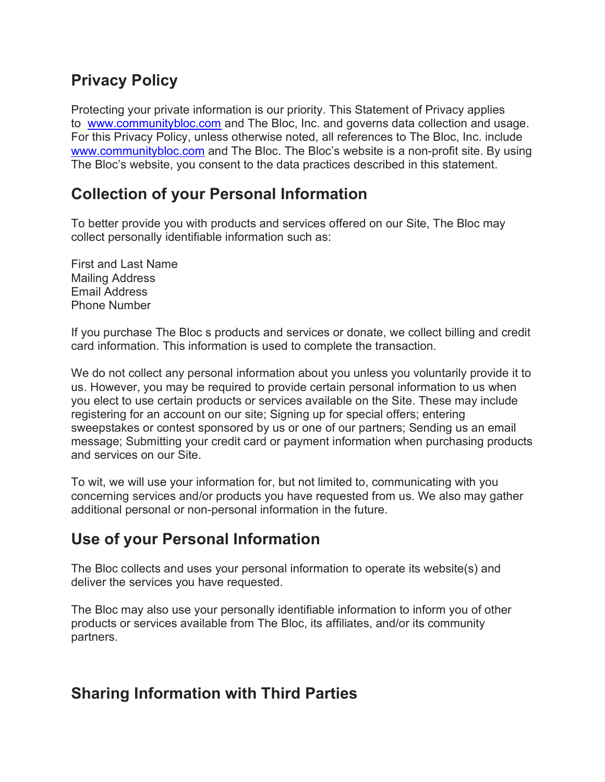#### Privacy Policy

Protecting your private information is our priority. This Statement of Privacy applies to www.communitybloc.com and The Bloc, Inc. and governs data collection and usage. For this Privacy Policy, unless otherwise noted, all references to The Bloc, Inc. include www.communitybloc.com and The Bloc. The Bloc's website is a non-profit site. By using The Bloc's website, you consent to the data practices described in this statement.

### Collection of your Personal Information

To better provide you with products and services offered on our Site, The Bloc may collect personally identifiable information such as:

First and Last Name Mailing Address Email Address Phone Number

If you purchase The Bloc s products and services or donate, we collect billing and credit card information. This information is used to complete the transaction.

We do not collect any personal information about you unless you voluntarily provide it to us. However, you may be required to provide certain personal information to us when you elect to use certain products or services available on the Site. These may include registering for an account on our site; Signing up for special offers; entering sweepstakes or contest sponsored by us or one of our partners; Sending us an email message; Submitting your credit card or payment information when purchasing products and services on our Site.

To wit, we will use your information for, but not limited to, communicating with you concerning services and/or products you have requested from us. We also may gather additional personal or non-personal information in the future.

### Use of your Personal Information

The Bloc collects and uses your personal information to operate its website(s) and deliver the services you have requested.

The Bloc may also use your personally identifiable information to inform you of other products or services available from The Bloc, its affiliates, and/or its community partners.

### Sharing Information with Third Parties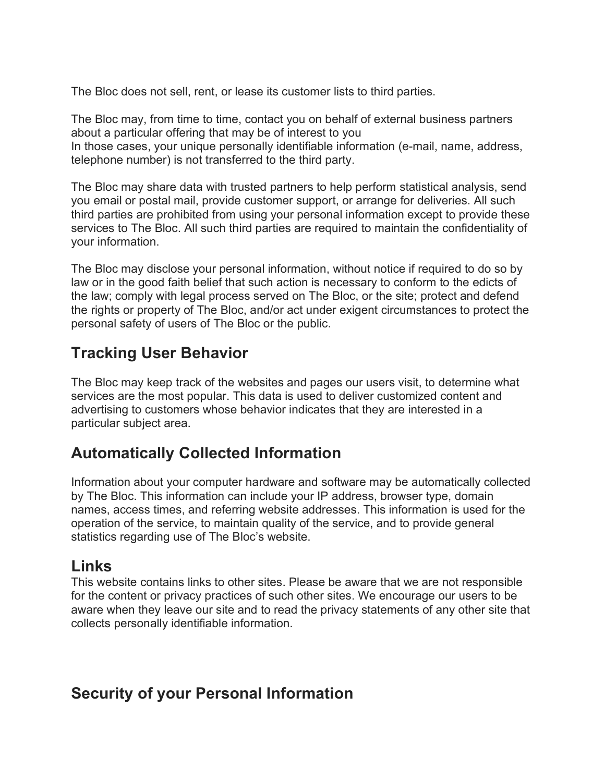The Bloc does not sell, rent, or lease its customer lists to third parties.

The Bloc may, from time to time, contact you on behalf of external business partners about a particular offering that may be of interest to you In those cases, your unique personally identifiable information (e-mail, name, address, telephone number) is not transferred to the third party.

The Bloc may share data with trusted partners to help perform statistical analysis, send you email or postal mail, provide customer support, or arrange for deliveries. All such third parties are prohibited from using your personal information except to provide these services to The Bloc. All such third parties are required to maintain the confidentiality of your information.

The Bloc may disclose your personal information, without notice if required to do so by law or in the good faith belief that such action is necessary to conform to the edicts of the law; comply with legal process served on The Bloc, or the site; protect and defend the rights or property of The Bloc, and/or act under exigent circumstances to protect the personal safety of users of The Bloc or the public.

# Tracking User Behavior

The Bloc may keep track of the websites and pages our users visit, to determine what services are the most popular. This data is used to deliver customized content and advertising to customers whose behavior indicates that they are interested in a particular subject area.

# Automatically Collected Information

Information about your computer hardware and software may be automatically collected by The Bloc. This information can include your IP address, browser type, domain names, access times, and referring website addresses. This information is used for the operation of the service, to maintain quality of the service, and to provide general statistics regarding use of The Bloc's website.

#### Links

This website contains links to other sites. Please be aware that we are not responsible for the content or privacy practices of such other sites. We encourage our users to be aware when they leave our site and to read the privacy statements of any other site that collects personally identifiable information.

### Security of your Personal Information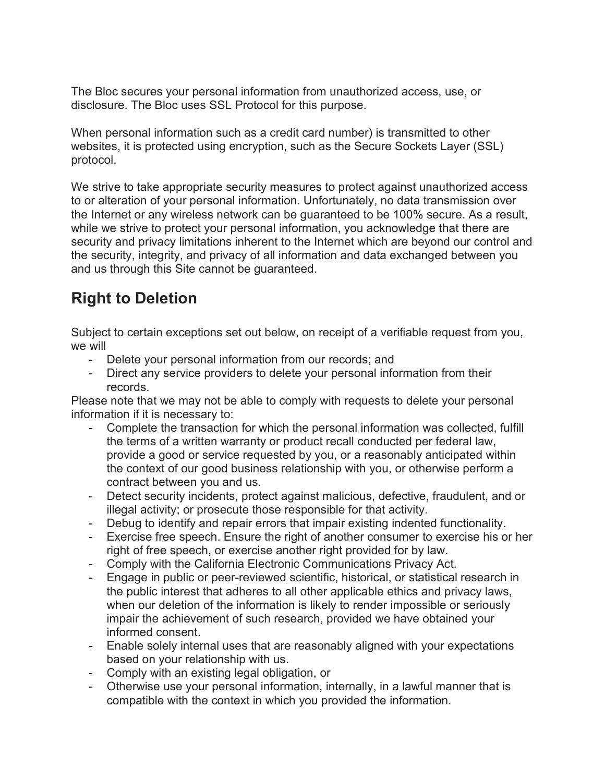The Bloc secures your personal information from unauthorized access, use, or disclosure. The Bloc uses SSL Protocol for this purpose.

When personal information such as a credit card number) is transmitted to other websites, it is protected using encryption, such as the Secure Sockets Layer (SSL) protocol.

We strive to take appropriate security measures to protect against unauthorized access to or alteration of your personal information. Unfortunately, no data transmission over the Internet or any wireless network can be guaranteed to be 100% secure. As a result, while we strive to protect your personal information, you acknowledge that there are security and privacy limitations inherent to the Internet which are beyond our control and the security, integrity, and privacy of all information and data exchanged between you and us through this Site cannot be guaranteed.

# Right to Deletion

Subject to certain exceptions set out below, on receipt of a verifiable request from you, we will

- Delete your personal information from our records; and
- Direct any service providers to delete your personal information from their records.

Please note that we may not be able to comply with requests to delete your personal information if it is necessary to:

- Complete the transaction for which the personal information was collected, fulfill the terms of a written warranty or product recall conducted per federal law, provide a good or service requested by you, or a reasonably anticipated within the context of our good business relationship with you, or otherwise perform a contract between you and us.
- Detect security incidents, protect against malicious, defective, fraudulent, and or illegal activity; or prosecute those responsible for that activity.
- Debug to identify and repair errors that impair existing indented functionality.
- Exercise free speech. Ensure the right of another consumer to exercise his or her right of free speech, or exercise another right provided for by law.
- Comply with the California Electronic Communications Privacy Act.
- Engage in public or peer-reviewed scientific, historical, or statistical research in the public interest that adheres to all other applicable ethics and privacy laws, when our deletion of the information is likely to render impossible or seriously impair the achievement of such research, provided we have obtained your informed consent.
- Enable solely internal uses that are reasonably aligned with your expectations based on your relationship with us.
- Comply with an existing legal obligation, or
- Otherwise use your personal information, internally, in a lawful manner that is compatible with the context in which you provided the information.